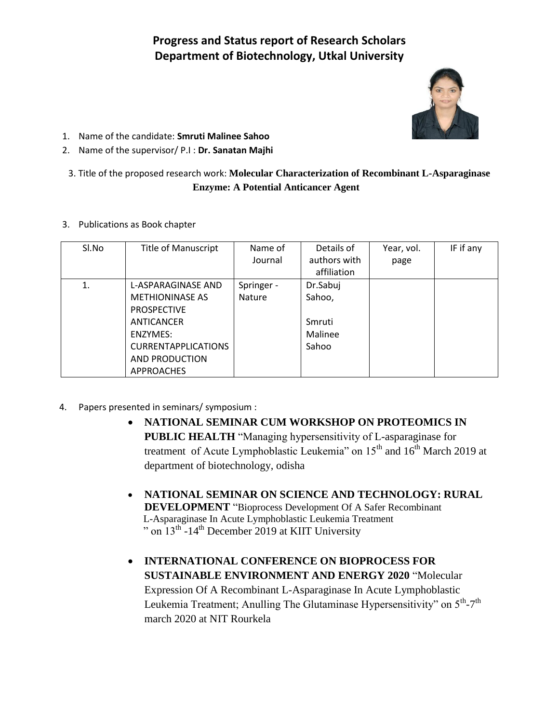## **Progress and Status report of Research Scholars Department of Biotechnology, Utkal University**



- 1. Name of the candidate: **Smruti Malinee Sahoo**
- 2. Name of the supervisor/ P.I : **Dr. Sanatan Majhi**
- 3. Title of the proposed research work: **Molecular Characterization of Recombinant L-Asparaginase Enzyme: A Potential Anticancer Agent**
- 3. Publications as Book chapter

| SI.No | <b>Title of Manuscript</b>                                                                                                                                        | Name of<br>Journal          | Details of<br>authors with<br>affiliation        | Year, vol.<br>page | IF if any |
|-------|-------------------------------------------------------------------------------------------------------------------------------------------------------------------|-----------------------------|--------------------------------------------------|--------------------|-----------|
| 1.    | L-ASPARAGINASE AND<br><b>METHIONINASE AS</b><br><b>PROSPECTIVE</b><br>ANTICANCER<br>ENZYMES:<br><b>CURRENTAPPLICATIONS</b><br>AND PRODUCTION<br><b>APPROACHES</b> | Springer -<br><b>Nature</b> | Dr.Sabuj<br>Sahoo,<br>Smruti<br>Malinee<br>Sahoo |                    |           |

- 4. Papers presented in seminars/ symposium :
	- **NATIONAL SEMINAR CUM WORKSHOP ON PROTEOMICS IN PUBLIC HEALTH** "Managing hypersensitivity of L-asparaginase for treatment of Acute Lymphoblastic Leukemia" on  $15<sup>th</sup>$  and  $16<sup>th</sup>$  March 2019 at department of biotechnology, odisha
	- **NATIONAL SEMINAR ON SCIENCE AND TECHNOLOGY: RURAL DEVELOPMENT** "Bioprocess Development Of A Safer Recombinant L-Asparaginase In Acute Lymphoblastic Leukemia Treatment " on  $13^{th}$  -14<sup>th</sup> December 2019 at KIIT University
	- **INTERNATIONAL CONFERENCE ON BIOPROCESS FOR SUSTAINABLE ENVIRONMENT AND ENERGY 2020** "Molecular Expression Of A Recombinant L-Asparaginase In Acute Lymphoblastic Leukemia Treatment; Anulling The Glutaminase Hypersensitivity" on 5<sup>th</sup>-7<sup>th</sup> march 2020 at NIT Rourkela